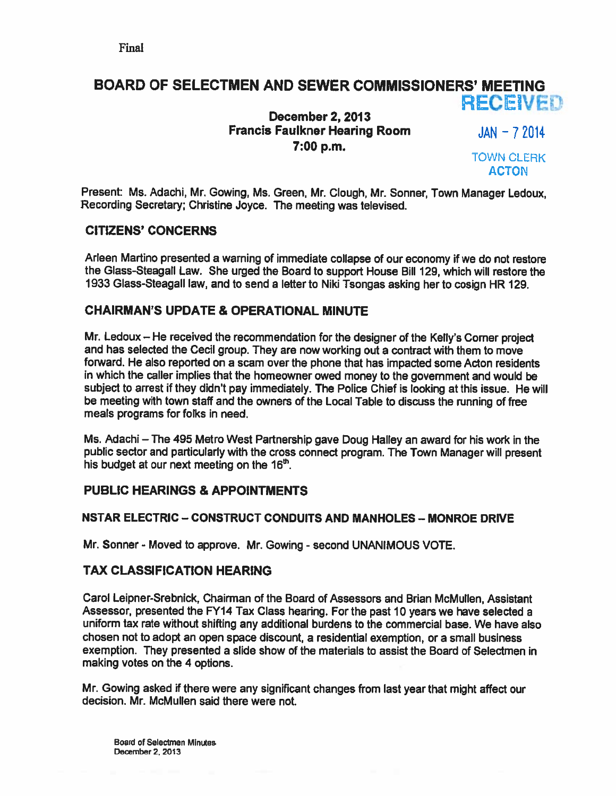# BOARD OF SELECTMEN AND SEWER COMMISSIONERS' MEETING

# December 2, 2013 **RECEIVED** Francis Faulkner Hearing Room JAN - 7 2014 7:00 p.m.

TOWN CLERK **ACTON** 

Present: Ms. Adachi, Mr. Gowing, Ms. Green, Mr. Clough, Mr. Sonner, Town Manager Ledoux, Recording Secretary; Christine Joyce. The meeting was televised.

# CITIZENS' CONCERNS

Arleen Martino presented <sup>a</sup> warning of immediate collapse of our economy if we do not restore the Glass-Steagall Law. She urge<sup>d</sup> the Board to suppor<sup>t</sup> House Bill 129, which will restore the 1933 Glass-Steagall law, and to send <sup>a</sup> letter to Niki Tsongas asking her to cosign HR 129.

# CHAIRMAN'S UPDATE & OPERATIONAL MINUTE

Mr. Ledoux — He received the recommendation for the designer of the Kelly's Corner project and has selected the Cecil group. They are now working out <sup>a</sup> contract with them to move forward. He also reported on <sup>a</sup> scam over the <sup>p</sup>hone that has impacted some Acton residents in which the caller implies that the homeowner owed money to the governmen<sup>t</sup> and would be subject to arrest if they didn't pay immediately. The Police Chief is looking at this issue. He will be meeting with town staff and the owners of the Local Table to discuss the running of free meals programs for folks in need.

Ms. Adachi — The 495 Metro West Partnership gave Doug Halley an award for his work in the public sector and particularly with the cross connect program. The Town Manager will presen<sup>t</sup> his budget at our next meeting on the 16<sup>th</sup>.

# PUBLIC HEARINGS & APPOINTMENTS

# NSTAR ELECTRIC — CONSTRUCT CONDUITS AND MANHOLES — MONROE DRIVE

Mr. Sonner - Moved to approve. Mr. Gowing - second UNANIMOUS VOTE.

# TAX CLASSIFICATION HEARING

Carol Leipner-Srebnick, Chairman of the Board of Assessors and Brian McMullen, Assistant Assessor, presented the FY14 Tax Class hearing. For the pas<sup>t</sup> 10 years we have selected <sup>a</sup> uniform tax rate without shifting any additional burdens to the commercial base. We have also chosen not to adopt an open space discount, <sup>a</sup> residential exemption, or <sup>a</sup> small business exemption. They presented <sup>a</sup> slide show of the materials to assist the Board of Selectmen in making votes on the 4 options.

Mr. Gowing asked if there were any significant changes from last year that might affect our decision. Mr. McMullen said there were not.

Board of Selectmen Minutes December 2, 2013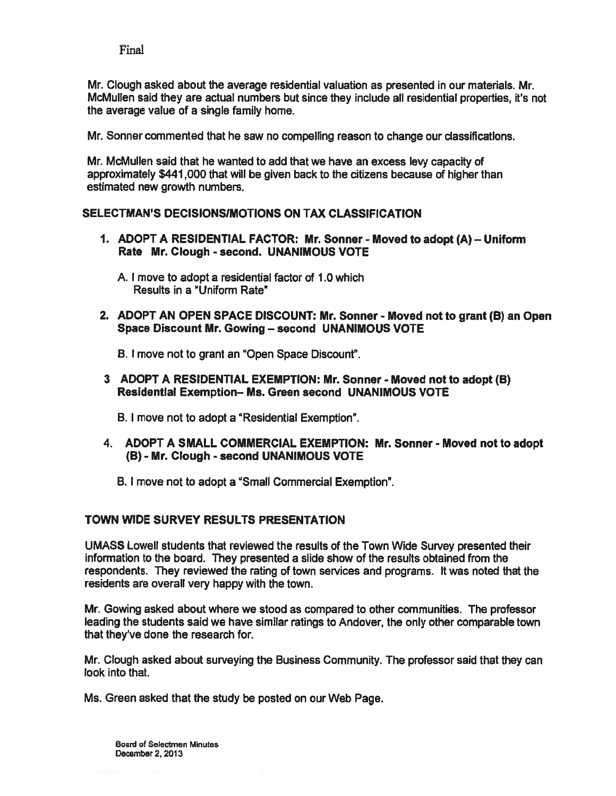Final

Mr. Clough asked about the average residential valuation as presented in our materials. Mr. McMullen said they are actual numbers but since they include all residential properties, it's not the average value of <sup>a</sup> single family home.

Mr. Sonner commented that he saw no compelling reason to change our classifications.

Mr. McMullen said that he wanted to add that we have an excess levy capacity of approximately \$441,000 that will be given back to the citizens because of higher than estimated new growth numbers.

### SELECTMAN'S DECISIONSIMOTIONS ON TAX CLASSIFICATION

- 1. ADOPT A RESIDENTIAL FACTOR: Mr. Sonner Moved to adopt (A) Uniform Rate Mr. Clough - second. UNANIMOUS VOTE
	- A. I move to adopt <sup>a</sup> residential factor of 1.0 which Results in a "Uniform Rate"
- 2. ADOPT AN OPEN SPACE DISCOUNT: Mr. Sonner Moved not to gran<sup>t</sup> (B) an Open Space Discount Mr. Gowing — second UNANIMOUS VOTE

B. I move not to gran<sup>t</sup> an "Open Space Discount".

3 ADOPT A RESIDENTIAL EXEMPTION: Mr. Sonner - Moved not to adopt (B) Residential Exemption— Ms. Green second UNANIMOUS VOTE

B. I move not to adopt <sup>a</sup> "Residential Exemption".

4. ADOPT A SMALL COMMERCIAL EXEMPTION: Mr. Sonner - Moved not to adopt (B) - Mr. Clough -second UNANIMOUS VOTE

B. I move not to adopt a "Small Commercial Exemption".

# TOWN WIDE SURVEY RESULTS PRESENTATION

UMASS Lowell students that reviewed the results of the Town Wide Survey presented their information to the board. They presented <sup>a</sup> slide show of the results obtained from the respondents. They reviewed the rating of town services and programs. It was noted that the residents are overall very happy with the town.

Mr. Gowing asked about where we stood as compared to other communities. The professor leading the students said we have similar ratings to Andover, the only other comparable town that they've done the research for.

Mr. Clough asked about surveying the Business Community. The professor said that they can look into that.

Ms. Green asked that the study be posted on our Web Page.

Board of Selectmen Minutes December 2, 2013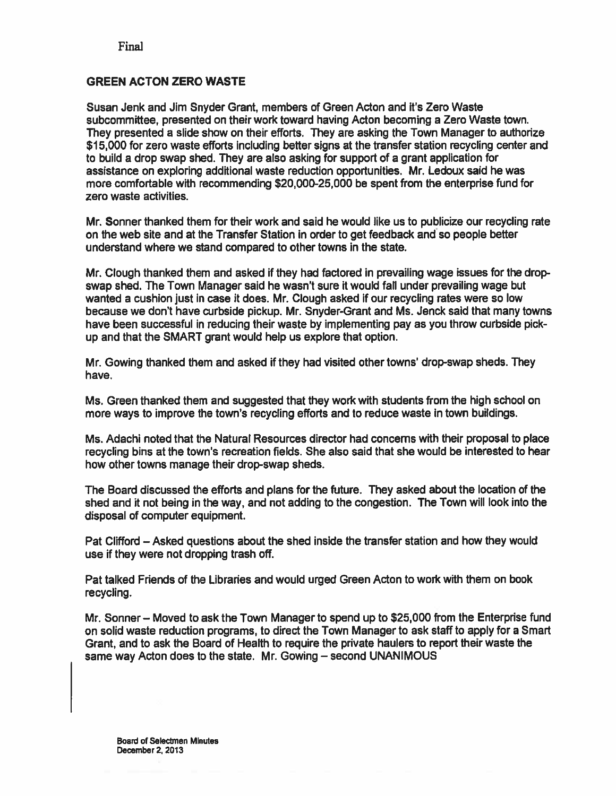Finai

#### GREEN ACTON ZERO WASTE

Susan Jenk and Jim Snyder Grant, members of Green Acton and it's Zero Waste subcommittee, presented on their work toward having Acton becoming <sup>a</sup> Zero Waste town. They presented <sup>a</sup> slide show on their efforts. They are asking the Town Manager to authorize \$15,000 for zero waste efforts including better signs at the transfer station recycling center and to build <sup>a</sup> drop swap shed. They are also asking for suppor<sup>t</sup> of <sup>a</sup> gran<sup>t</sup> application for assistance on exploring additional waste reduction opportunities. Mr. Ledoux said he was more comfortable with recommending \$20,000-25,000 be spen<sup>t</sup> from the enterprise fund for zero waste activities.

Mr. Sonner thanked them for their work and said he would like us to publicize our recycling rate on the web site and at the Transfer Station in order to ge<sup>t</sup> feedback and so people better understand where we stand compared to other towns in the state.

Mr. Clough thanked them and asked if they had factored in prevailing wage issues for the dropswap shed. The Town Manager said he wasn't sure it would fall under prevailing wage but wanted a cushion just in case it does. Mr. Clough asked if our recycling rates were so low because we don't have curbside pickup. Mr. Snyder-Grant and Ms. Jenck said that many towns have been successful in reducing their waste by implementing pay as you throw curbside <sup>p</sup>ick up and that the SMART gran<sup>t</sup> would help us explore that option.

Mr. Gowing thanked them and asked if they had visited other towns' drop-swap sheds. They have.

Ms. Green thanked them and suggested that they work with students from the high school on more ways to improve the town's recycling efforts and to reduce waste in town buildings.

Ms. Adachi noted that the Natural Resources director had concerns with their proposal to place recycling bins at the town's recreation fields. She also said that she would be interested to hear how other towns manage their drop-swap sheds.

The Board discussed the efforts and plans for the future. They asked about the location of the shed and it not being in the way, and not adding to the congestion. The Town will look into the disposal of computer equipment.

Pat Clifford — Asked questions about the shed inside the transfer station and how they would use if they were not dropping trash off.

Pat talked Friends of the Libraries and would urged Green Acton to work with them on book recycling.

Mr. Sonner — Moved to ask the Town Manager to spend up to \$25,000 from the Enterprise fund on solid waste reduction programs, to direct the Town Manager to ask staff to apply for <sup>a</sup> Smart Grant, and to ask the Board of Health to require the private haulers to repor<sup>t</sup> their waste the same way Acton does to the state. Mr. Gowing — second UNANIMOUS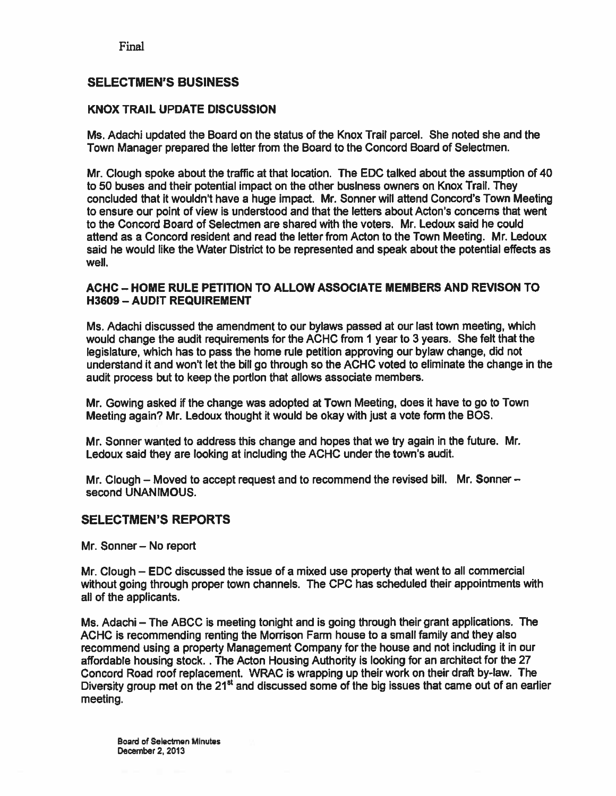Final

## SELECTMEN'S BUSINESS

#### KNOX TRAIL UPDATE DISCUSSION

Ms. Adachi updated the Board on the status of the Knox Trail parcel. She noted she and the Town Manager prepared the letter from the Board to the Concord Hoard of Selectmen.

Mr. Clough spoke about the traffic at that location. The EDC talked about the assumption of 40 to 50 buses and their potential impact on the other business owners on Knox Trail. They concluded that it wouldn't have <sup>a</sup> huge impact. Mr. Sonner will attend Concord's Town Meeting to ensure our point of view is understood and that the letters about Acton's concerns that went to the Concord Board of Selectmen are shared with the voters. Mr. Ledoux said he could attend as <sup>a</sup> Concord resident and read the letter from Acton to the Town Meeting. Mr. Ledoux said he would like the Water District to be represented and speak about the potential effects as well.

#### ACHC — HOME RULE PETITION TO ALLOW ASSOCIATE MEMBERS AND REVISON TO H3609 — AUDIT REQUIREMENT

Ms. Machi discussed the amendment to our bylaws passed at our last town meeting, which would change the audit requirements for the ACHC from 1 year to 3 years. She felt that the legislature, which has to pass the home rule petition approving our bylaw change, did not understand it and won't let the bill go through so the ACHC voted to eliminate the change in the audit process but to keep the portion that allows associate members.

Mr. Gowing asked if the change was adopted at Town Meeting, does it have to go to Town Meeting again? Mr. Ledoux thought it would be okay with just <sup>a</sup> vote form the BOS.

Mr. Sonner wanted to address this change and hopes that we try again in the future. Mr. Ledoux said they are looking at including the ACHC under the town's audit,

Mr. Clough — Moved to accep<sup>t</sup> reques<sup>t</sup> and to recommend the revised bill. Mr. Sonner second UNANIMOUS.

#### SELECTMEN'S REPORTS

Mr. Sonner— No report

Mr. Clough  $-$  EDC discussed the issue of a mixed use property that went to all commercial without going through proper town channels. The CPC has scheduled their appointments with all of the applicants.

Ms. Adachi — The ABCC is meeting tonight and is going through their gran<sup>t</sup> applications. The ACHC is recommending renting the Morrison Farm house to <sup>a</sup> small family and they also recommend using <sup>a</sup> property Management Company for the house and not including it in our affordable housing stock. . The Acton Housing Authority is looking for an architect for the 27 Concord Road roof replacement. WRAC is wrapping up their work on their draft by-law. The Diversity group met on the 21<sup>st</sup> and discussed some of the big issues that came out of an earlier meeting.

Board of Selectmen Minutes December 2, 2013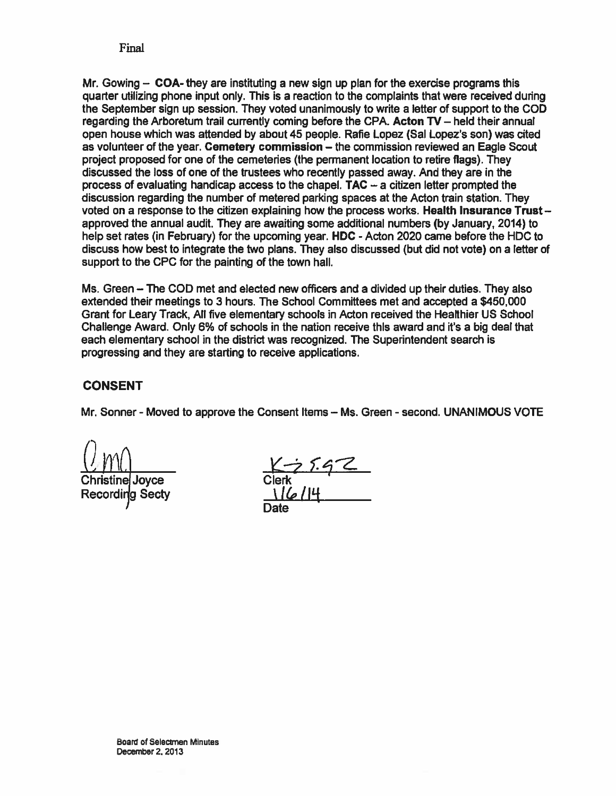Final

Mr. Gowing  $-$  COA- they are instituting a new sign up plan for the exercise programs this quarter utilizing phone input only. This is <sup>a</sup> reaction to the complaints that were received during the September sign up session. They voted unanimously to write <sup>a</sup> letter of suppor<sup>t</sup> to the COD regarding the Arboretum trail currently coming before the CPA. Acton TV — held their annual open house which was attended by about 45 people. Rafie Lopez (Sal Lopez's son) was cited as volunteer of the year. Cemetery commission — the commission reviewed an Eagle Scout project proposed for one of the cemeteries (the permanen<sup>t</sup> location to retire flags). They discussed the loss of one of the trustees who recently passed away. And they are in the process of evaluating handicap access to the chapel. TAC  $-$  a citizen letter prompted the discussion regarding the number of metered parking spaces at the Acton train station. They voted on <sup>a</sup> response to the citizen explaining how the process works. Health Insurance Trust approved the annual audit. They are awaiting some additional numbers (by January, 2014) to help set rates (in February) for the upcoming year. HDG -Acton 2020 came before the HDC to discuss how best to integrate the two plans. They also discussed (but did not vote) on <sup>a</sup> letter of suppor<sup>t</sup> to the CPC for the painting of the town hall. Final<br>
Mr. Gowing – COA-they are instituting a new sign up plan<br>
quarter utilizing phone input only. This is a reaction to the c<br>
the September sign up session. They voted unanimously to<br>
regarding the Arboretum trail cur

Ms. Green — The COD met and elected new officers and <sup>a</sup> divided up their duties. They also extended their meetings to 3 hours. The School Committees met and accepted <sup>a</sup> \$450,000 Grant for Leary Track, All five elementary schools in Acton received the Healthier US School Challenge Award. Only 6% of schools in the nation receive this award and it's <sup>a</sup> big deal that each elementary school in the district was recognized. The Superintendent search is progressing and they are starting to receive applications.

# **CONSENT**

Mr. Sonner - Moved to approve the Consent Items - Ms. Green - second. UNANIMOUS VOTE

 $\frac{X \cdot Y \cdot I \cdot V}{Y}$ <br>Christine Joyce<br>Recording Secty  $\frac{X \cdot Z \cdot 2 \cdot 3}{Y}$ '*I* Date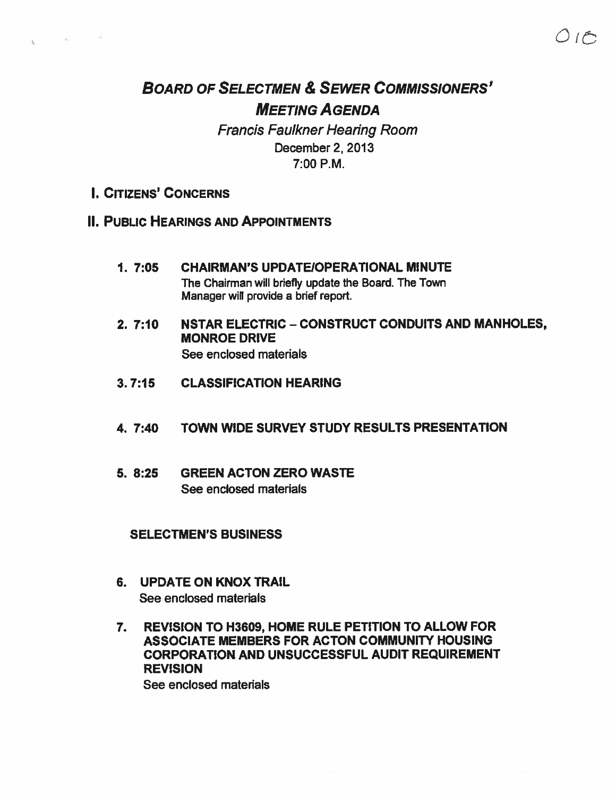# BOARD OF SELECTMEN & SEWER COMMISSIONERS' **MEETING AGENDA**

Francis Faulkner Hearing Room December 2, 2013 7:00 P.M.

I. CITIZENS' CONCERNS

 $\sqrt{2}$ 

- II. PUBLIC HEARINGS AND APPOINTMENTS
	- 1. 7:05 CHAIRMAN'S UPDATEIOPERATIONAL MINUTE The Chairman will briefly update the Board. The Town Manager will provide <sup>a</sup> brief report.
	- 2. 7:10 NSTAR ELECTRIC CONSTRUCT CONDUITS AND MANHOLES, MONROE DRIVE See enclosed materials
	- 3. 7:15 CLASSIFICATION HEARING
	- 4. 7:40 TOWN WIDE SURVEY STUDY RESULTS PRESENTATION
	- 5. 8:25 GREEN ACTON ZERO WASTE See enclosed materials

SELECTMEN'S BUSINESS

- 6. UPDATE ON KNOX TRAIL See enclosed materials
- 7. REVISION TO H3609, HOME RULE PETITION TO ALLOW FOR ASSOCIATE MEMBERS FOR ACTON COMMUNITY HOUSING CORPORATION AND UNSUCCESSFUL AUDIT REQUIREMENT REVISION

See enclosed materials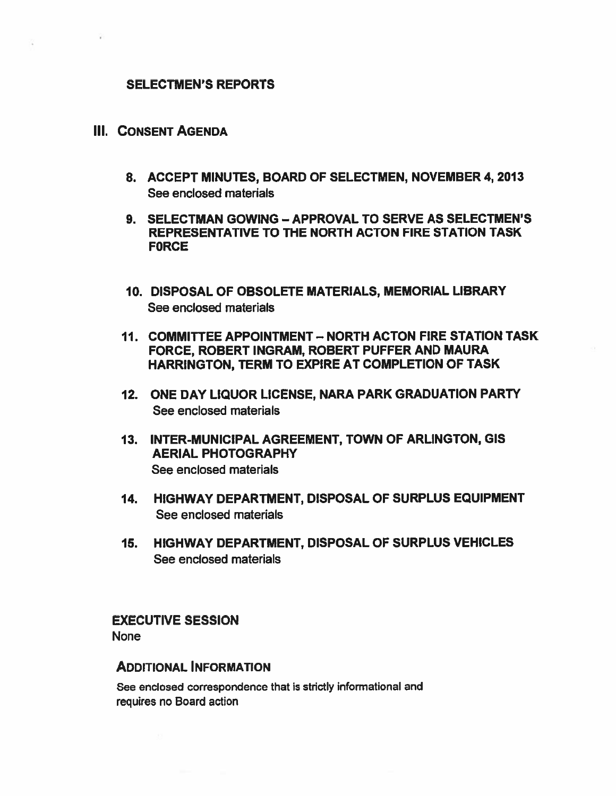# SELECTMEN'S REPORTS

# III. CONSENT AGENDA

- 8. ACCEPT MINUTES, BOARD OF SELECTMEN, NOVEMBER 4, 2013 See enclosed materials
- 9. SELECTMAN GOWING APPROVAL TO SERVE AS SELECTMEN'S REPRESENTATIVE TO THE NORTH ACTON FIRE STATION TASK **FORCE**
- 10. DISPOSAL OF OBSOLETE MATERIALS, MEMORIAL LIBRARY See enclosed materials
- 11. COMMITTEE APPOINTMENT NORTH ACTON FIRE STATION TASK FORCE, ROBERT INGRAM, ROBERT PUFFER AND MAURA HARRINGTON, TERM TO EXPIRE AT COMPLETION OF TASK
- 12. ONE DAY LIQUOR LICENSE, NARA PARK GRADUATION PARTY See enclosed materials
- 13. INTER-MUNICIPAL AGREEMENT, TOWN OF ARLINGTON, GIS AERIAL PHOTOGRAPHY See enclosed materials
- 14. HIGHWAY DEPARTMENT, DISPOSAL OF SURPLUS EQUIPMENT See enclosed materials
- 15. HIGHWAY DEPARTMENT, DISPOSAL OF SURPLUS VEHICLES See enclosed materials

EXECUTIVE SESSION

None

# ADDITIONAL INFORMATION

See enclosed correspondence that is strictly informational and requires no Board action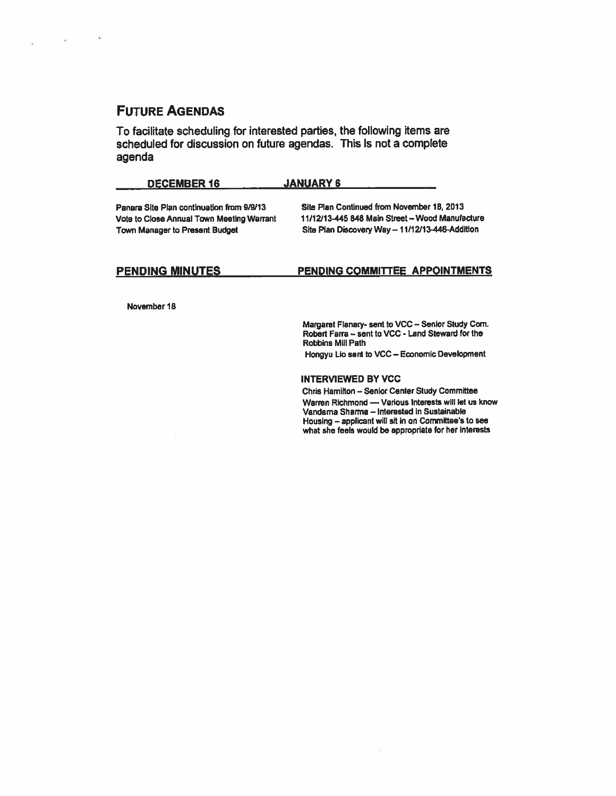# FUTURE AGENDAS

 $\mathcal{H}$ 

To facilitate scheduling for interested parties, the following items are scheduled for discussion on future agendas. This is not <sup>a</sup> complete agenda

DECEMBER 16 JANUARY 6

| <b>ULVERULER IV</b>                       | vrusvrusi v                                      |  |  |  |  |
|-------------------------------------------|--------------------------------------------------|--|--|--|--|
|                                           |                                                  |  |  |  |  |
| Panara Site Plan continuation from 9/9/13 | Site Plan Continued from November 18, 2013       |  |  |  |  |
| Vote to Close Annual Town Meeting Warrant | 11/12/13-445 848 Main Street -- Wood Manufacture |  |  |  |  |
| Town Manager to Present Budget            | Site Plan Discovery Way - 11/12/13-446-Addition  |  |  |  |  |

#### PENDING MINUTES PENDING COMMITTEE APPOINTMENTS

November18

Margaret Flanary- sent to VCC — Senior Study Corn. Robert Farm — sent to VCC - Land Steward for the Robbins Mill Path Hongyu Lio sent to VCC - Economic Development

INTERVIEWED BY vcc

Chris Hamilton — Senior center Study Committee Warren Richmond —Various Interests wilt let us know Vandama Sharrna — Interested in Sustainable Housing - applicant will sit in on Committee's to see what she feels would be appropriate for her interests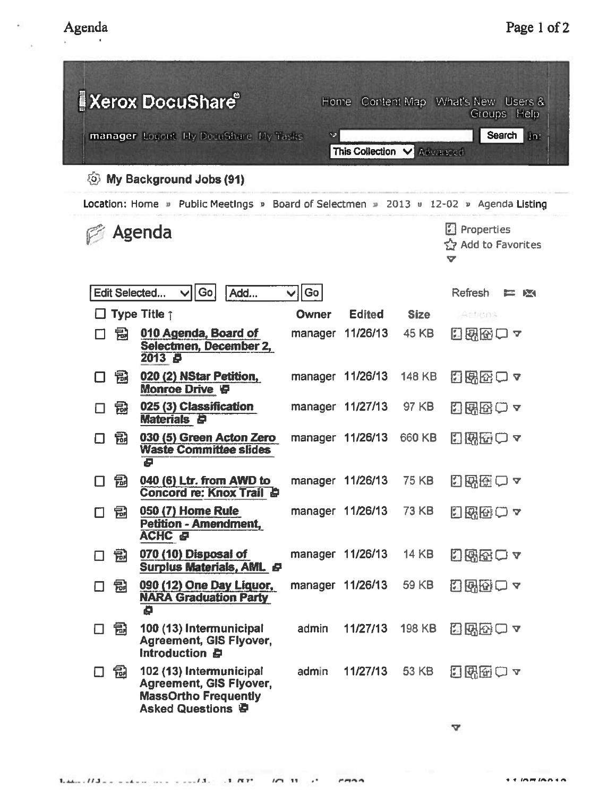| <b>A Xerox DocuShare</b><br>Home Content Map What's New Users &<br>Groups Help        |                                                                                                                      |                                                |                  |               |                                    |  |  |  |  |  |
|---------------------------------------------------------------------------------------|----------------------------------------------------------------------------------------------------------------------|------------------------------------------------|------------------|---------------|------------------------------------|--|--|--|--|--|
| Search im<br>manager Logout Hy DocuShare My Yasks<br>52<br>This Collection V Advanced |                                                                                                                      |                                                |                  |               |                                    |  |  |  |  |  |
| <b><b><i>S</i></b> My Background Jobs (91)</b>                                        |                                                                                                                      |                                                |                  |               |                                    |  |  |  |  |  |
| Location: Home » Public Meetings » Board of Selectmen » 2013 » 12-02 » Agenda Listing |                                                                                                                      |                                                |                  |               |                                    |  |  |  |  |  |
|                                                                                       | Agenda                                                                                                               | 图 Properties<br><b>☆ Add to Favorites</b><br>v |                  |               |                                    |  |  |  |  |  |
| Edit Selected                                                                         | $\vee$   Go <br>Add                                                                                                  | Go<br>$\checkmark$                             |                  |               | <b>Refresh</b><br>te e<br><b>X</b> |  |  |  |  |  |
|                                                                                       | <b>Type Title 1</b>                                                                                                  | <b>Owner</b>                                   | <b>Edited</b>    | <b>Size</b>   | ASSIGNA                            |  |  |  |  |  |
| 鳱                                                                                     | 010 Agenda, Board of<br>Selectmen, December 2,<br>2013 日                                                             |                                                | manager 11/26/13 | 45 KB         | 日卧圈口~                              |  |  |  |  |  |
| 冠                                                                                     | 020 (2) NStar Petition,<br>Monroe Drive P                                                                            |                                                | manager 11/26/13 | 148 KB        | <b>出路图口 4</b>                      |  |  |  |  |  |
| 氝                                                                                     | 025 (3) Classification<br><b>Materials B</b>                                                                         |                                                | manager 11/27/13 | 97 KB         | 困酷困□~                              |  |  |  |  |  |
| 园                                                                                     | 030 (5) Green Acton Zero<br><b>Waste Committee slides</b><br>Ø                                                       |                                                | manager 11/26/13 | 660 KB        | 因既極して                              |  |  |  |  |  |
| 锰                                                                                     | 040 (6) Ltr. from AWD to<br><b>Concord re: Knox Trail &amp;</b>                                                      |                                                | manager 11/26/13 | 75 KB         | 固以倒<br>┘▼                          |  |  |  |  |  |
| 旵<br>□                                                                                | 050 (7) Home Rule<br><b>Petition - Amendment,</b><br>АСНС Е                                                          |                                                | manager 11/26/13 | 73 KB         | 日昭医口。                              |  |  |  |  |  |
| 园<br>$\Box$                                                                           | 070 (10) Disposal of<br>Surplus Materials, AML &                                                                     |                                                | manager 11/26/13 | <b>14 KB</b>  | 日曜歴ロャ                              |  |  |  |  |  |
| 园<br>$\Box$                                                                           | 090 (12) One Day Liquor,<br><b>NARA Graduation Party</b><br>₽                                                        |                                                | manager 11/26/13 | 59 KB         | 35500                              |  |  |  |  |  |
| 司                                                                                     | 100 (13) Intermunicipal<br><b>Agreement, GIS Flyover,</b><br>Introduction <i>白</i>                                   | admin                                          | 11/27/13         | <b>198 KB</b> | <b>出现图口 7</b>                      |  |  |  |  |  |
| 园                                                                                     | 102 (13) Intermunicipal<br><b>Agreement, GIS Flyover,</b><br><b>MassOrtho Frequently</b><br><b>Asked Questions 中</b> | admin                                          | 11/27/13         | <b>53 KB</b>  | 日既面口ャ                              |  |  |  |  |  |
|                                                                                       |                                                                                                                      |                                                |                  |               | v                                  |  |  |  |  |  |